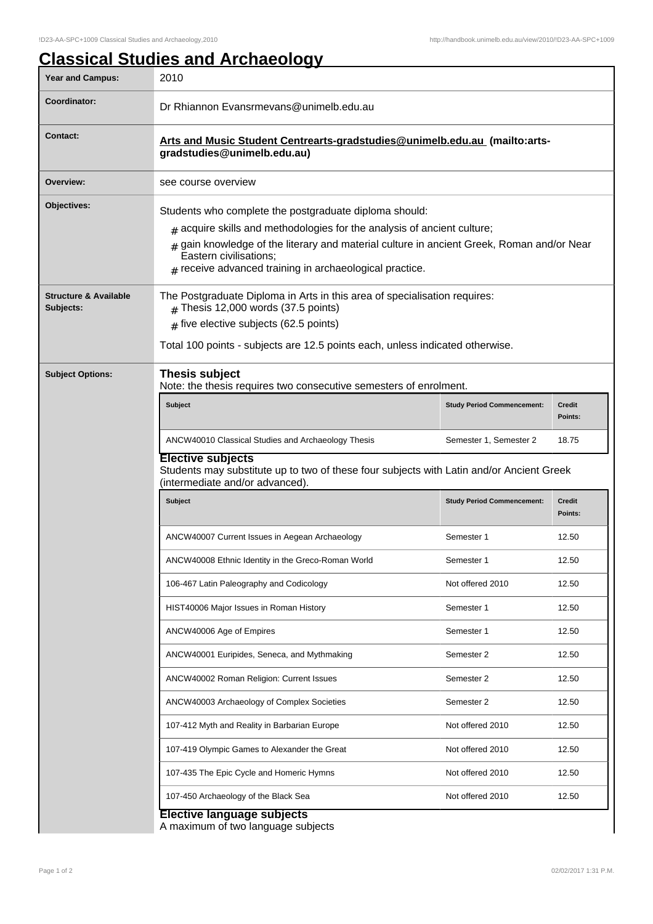## **Classical Studies and Archaeology**

| <b>Year and Campus:</b>                       | 2010                                                                                                                                                                                                                                                                                                                  |                                   |                          |  |
|-----------------------------------------------|-----------------------------------------------------------------------------------------------------------------------------------------------------------------------------------------------------------------------------------------------------------------------------------------------------------------------|-----------------------------------|--------------------------|--|
| Coordinator:                                  | Dr Rhiannon Evansrmevans@unimelb.edu.au                                                                                                                                                                                                                                                                               |                                   |                          |  |
| <b>Contact:</b>                               | Arts and Music Student Centrearts-gradstudies@unimelb.edu.au (mailto:arts-<br>gradstudies@unimelb.edu.au)                                                                                                                                                                                                             |                                   |                          |  |
| Overview:                                     | see course overview                                                                                                                                                                                                                                                                                                   |                                   |                          |  |
| Objectives:                                   | Students who complete the postgraduate diploma should:<br>$*$ acquire skills and methodologies for the analysis of ancient culture;<br>gain knowledge of the literary and material culture in ancient Greek, Roman and/or Near<br>Eastern civilisations;<br>$#$ receive advanced training in archaeological practice. |                                   |                          |  |
| <b>Structure &amp; Available</b><br>Subjects: | The Postgraduate Diploma in Arts in this area of specialisation requires:<br>$#$ Thesis 12,000 words (37.5 points)<br>$#$ five elective subjects (62.5 points)<br>Total 100 points - subjects are 12.5 points each, unless indicated otherwise.                                                                       |                                   |                          |  |
| <b>Subject Options:</b>                       | <b>Thesis subject</b><br>Note: the thesis requires two consecutive semesters of enrolment.                                                                                                                                                                                                                            |                                   |                          |  |
|                                               | <b>Subject</b>                                                                                                                                                                                                                                                                                                        | <b>Study Period Commencement:</b> | Credit<br>Points:        |  |
|                                               | ANCW40010 Classical Studies and Archaeology Thesis                                                                                                                                                                                                                                                                    | Semester 1, Semester 2            | 18.75                    |  |
|                                               | <b>Elective subjects</b><br>Students may substitute up to two of these four subjects with Latin and/or Ancient Greek<br>(intermediate and/or advanced).                                                                                                                                                               |                                   |                          |  |
|                                               | <b>Subject</b>                                                                                                                                                                                                                                                                                                        | <b>Study Period Commencement:</b> | <b>Credit</b><br>Points: |  |
|                                               | ANCW40007 Current Issues in Aegean Archaeology                                                                                                                                                                                                                                                                        | Semester 1                        | 12.50                    |  |
|                                               | ANCW40008 Ethnic Identity in the Greco-Roman World                                                                                                                                                                                                                                                                    | Semester 1                        | 12.50                    |  |
|                                               | 106-467 Latin Paleography and Codicology                                                                                                                                                                                                                                                                              | Not offered 2010                  | 12.50                    |  |
|                                               | HIST40006 Major Issues in Roman History                                                                                                                                                                                                                                                                               | Semester 1                        | 12.50                    |  |
|                                               | ANCW40006 Age of Empires                                                                                                                                                                                                                                                                                              | Semester 1                        | 12.50                    |  |
|                                               | ANCW40001 Euripides, Seneca, and Mythmaking                                                                                                                                                                                                                                                                           | Semester 2                        | 12.50                    |  |
|                                               | ANCW40002 Roman Religion: Current Issues                                                                                                                                                                                                                                                                              | Semester 2                        | 12.50                    |  |
|                                               | ANCW40003 Archaeology of Complex Societies                                                                                                                                                                                                                                                                            | Semester 2                        | 12.50                    |  |
|                                               | 107-412 Myth and Reality in Barbarian Europe                                                                                                                                                                                                                                                                          | Not offered 2010                  | 12.50                    |  |
|                                               | 107-419 Olympic Games to Alexander the Great                                                                                                                                                                                                                                                                          | Not offered 2010                  | 12.50                    |  |
|                                               | 107-435 The Epic Cycle and Homeric Hymns                                                                                                                                                                                                                                                                              | Not offered 2010                  | 12.50                    |  |
|                                               | 107-450 Archaeology of the Black Sea                                                                                                                                                                                                                                                                                  | Not offered 2010                  | 12.50                    |  |
|                                               | <b>Elective language subjects</b><br>A maximum of two language subjects                                                                                                                                                                                                                                               |                                   |                          |  |